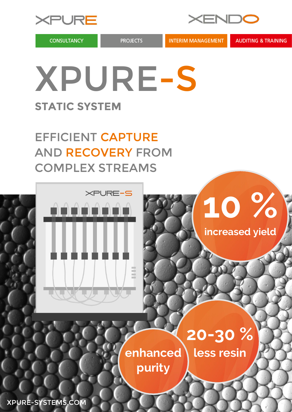

**CONSULTANCY** 

**PROJECTS** 

XENDC

**INTERIM MANAGEMENT** 

**AUDITING & TRAINING** 

## XPURE-S **STATIC SYSTEM**

EFFICIENT CAPTURE AND RECOVERY FROM COMPLEX STREAMS





## **20-30 %**

enhanced \ less resin

**purity**

XPURE-SYSTEMS.COM